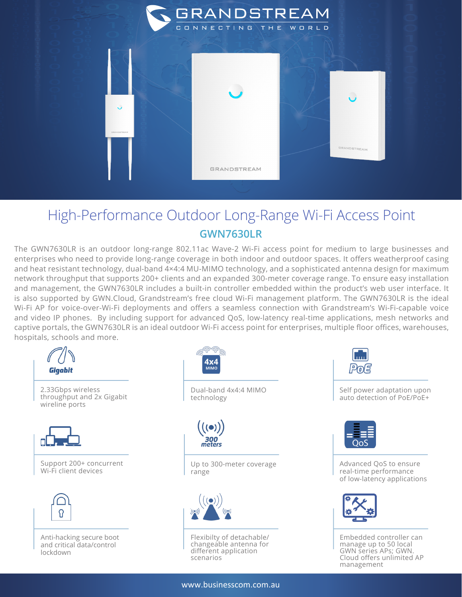

## High-Performance Outdoor Long-Range Wi-Fi Access Point **GWN7630LR**

The GWN7630LR is an outdoor long-range 802.11ac Wave-2 Wi-Fi access point for medium to large businesses and enterprises who need to provide long-range coverage in both indoor and outdoor spaces. It offers weatherproof casing and heat resistant technology, dual-band 4×4:4 MU-MIMO technology, and a sophisticated antenna design for maximum network throughput that supports 200+ clients and an expanded 300-meter coverage range. To ensure easy installation and management, the GWN7630LR includes a built-in controller embedded within the product's web user interface. It is also supported by GWN.Cloud, Grandstream's free cloud Wi-Fi management platform. The GWN7630LR is the ideal Wi-Fi AP for voice-over-Wi-Fi deployments and offers a seamless connection with Grandstream's Wi-Fi-capable voice and video IP phones. By including support for advanced QoS, low-latency real-time applications, mesh networks and captive portals, the GWN7630LR is an ideal outdoor Wi-Fi access point for enterprises, multiple floor offices, warehouses, hospitals, schools and more.



Pola

Self power adaptation upon auto detection of PoE/PoE+



Advanced QoS to ensure real-time performance of low-latency applications



Embedded controller can manage up to 50 local GWN series APs; GWN. Cloud offers unlimited AP management